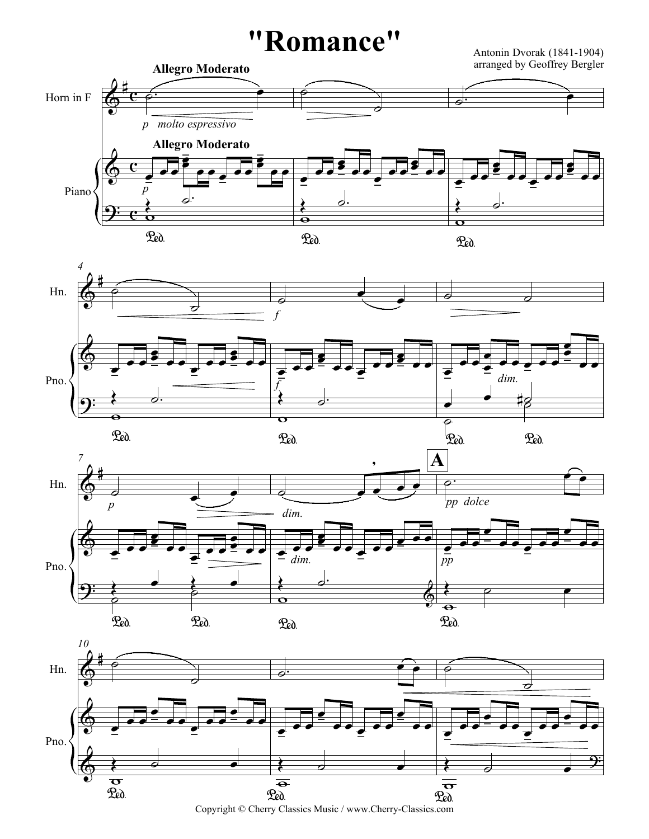## "Romance"







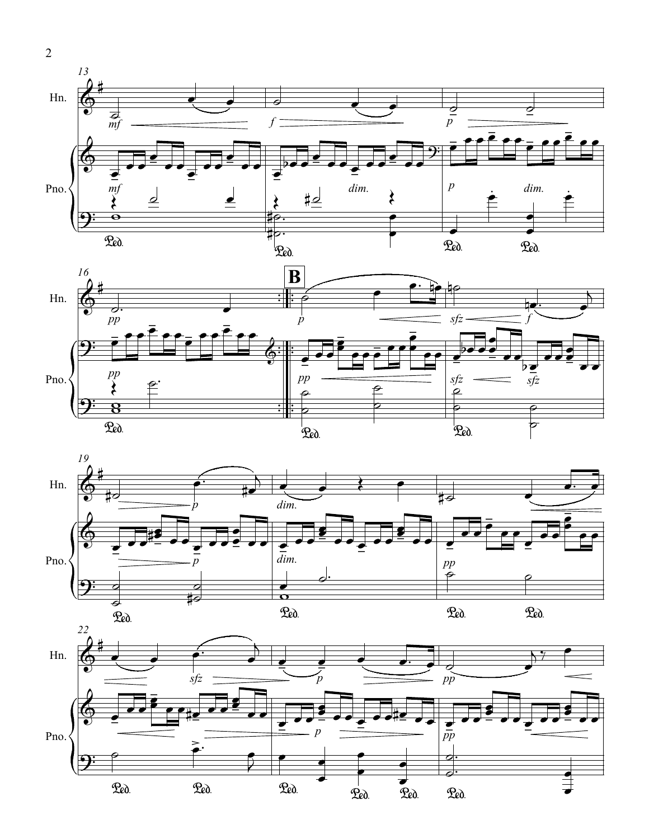







2